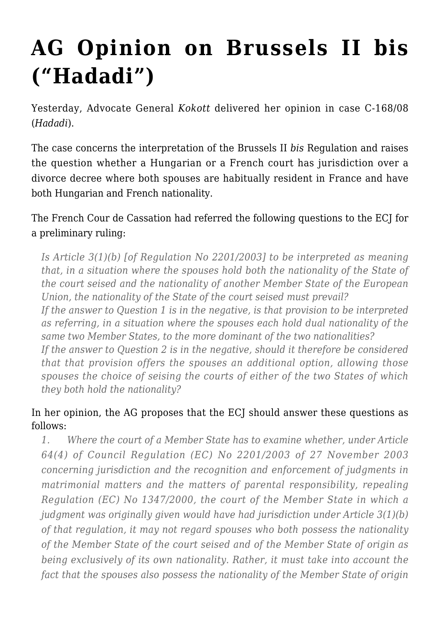## **[AG Opinion on Brussels II bis](https://conflictoflaws.net/2009/ag-opinion-on-brussels-ii-bis-hadadi/) [\("Hadadi"\)](https://conflictoflaws.net/2009/ag-opinion-on-brussels-ii-bis-hadadi/)**

Yesterday, Advocate General *Kokott* delivered her opinion in case [C-168/08](http://curia.europa.eu/jurisp/cgi-bin/form.pl?lang=EN&Submit=Rechercher$docrequire=alldocs&numaff=C-168/08%20&datefs=&datefe=&nomusuel=&domaine=&mots=&resmax=100) (*Hadadi*).

The case concerns the interpretation of the Brussels II *bis* Regulation and raises the question whether a Hungarian or a French court has jurisdiction over a divorce decree where both spouses are habitually resident in France and have both Hungarian and French nationality.

The French Cour de Cassation had referred the following questions to the ECJ for a preliminary ruling:

*Is Article 3(1)(b) [of Regulation No 2201/2003] to be interpreted as meaning that, in a situation where the spouses hold both the nationality of the State of the court seised and the nationality of another Member State of the European Union, the nationality of the State of the court seised must prevail?*

*If the answer to Question 1 is in the negative, is that provision to be interpreted as referring, in a situation where the spouses each hold dual nationality of the same two Member States, to the more dominant of the two nationalities?*

*If the answer to Question 2 is in the negative, should it therefore be considered that that provision offers the spouses an additional option, allowing those spouses the choice of seising the courts of either of the two States of which they both hold the nationality?*

## In her opinion, the AG proposes that the ECJ should answer these questions as follows:

*1. Where the court of a Member State has to examine whether, under Article 64(4) of Council Regulation (EC) No 2201/2003 of 27 November 2003 concerning jurisdiction and the recognition and enforcement of judgments in matrimonial matters and the matters of parental responsibility, repealing Regulation (EC) No 1347/2000, the court of the Member State in which a judgment was originally given would have had jurisdiction under Article 3(1)(b) of that regulation, it may not regard spouses who both possess the nationality of the Member State of the court seised and of the Member State of origin as being exclusively of its own nationality. Rather, it must take into account the fact that the spouses also possess the nationality of the Member State of origin*